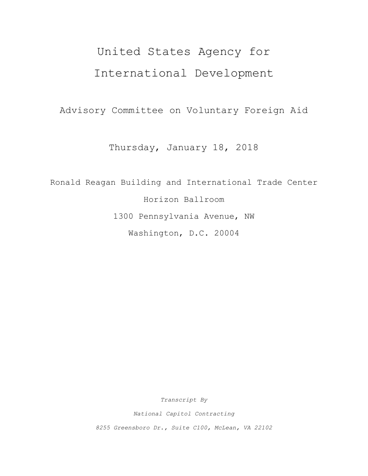# United States Agency for International Development

Advisory Committee on Voluntary Foreign Aid

Thursday, January 18, 2018

Ronald Reagan Building and International Trade Center Horizon Ballroom 1300 Pennsylvania Avenue, NW Washington, D.C. 20004

*Transcript By*

*National Capitol Contracting*

*8255 Greensboro Dr., Suite C100, McLean, VA 22102*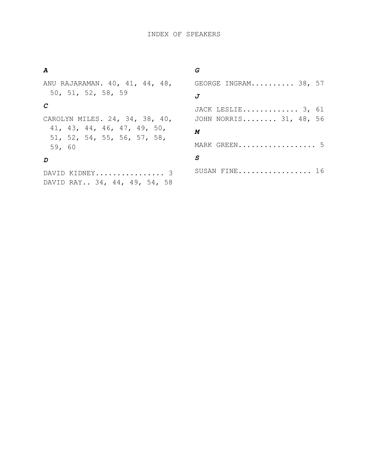# *A*

ANU RAJARAMAN. 40, 41, 44, 48, 50, 51, 52, 58, 59

## *C*

CAROLYN MILES. 24, 34, 38, 40, 41, 43, 44, 46, 47, 49, 50, 51, 52, 54, 55, 56, 57, 58, 59, 60

## *D*

DAVID KIDNEY................ 3 DAVID RAY.. 34, 44, 49, 54, 58

### *G*

| GEORGE INGRAM 38, 57   |
|------------------------|
| $\boldsymbol{J}$       |
| JACK LESLIE 3, 61      |
| JOHN NORRIS 31, 48, 56 |
| М                      |
| MARK GREEN 5           |
| S                      |
| SUSAN FINE 16          |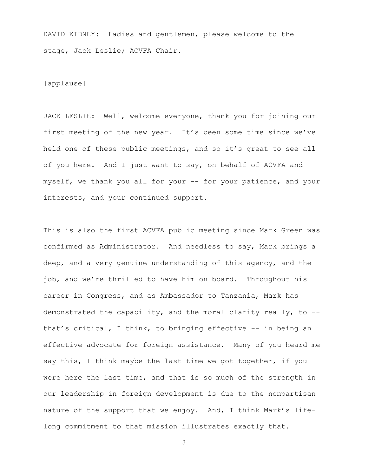DAVID KIDNEY: Ladies and gentlemen, please welcome to the stage, Jack Leslie; ACVFA Chair.

[applause]

JACK LESLIE: Well, welcome everyone, thank you for joining our first meeting of the new year. It's been some time since we've held one of these public meetings, and so it's great to see all of you here. And I just want to say, on behalf of ACVFA and myself, we thank you all for your -- for your patience, and your interests, and your continued support.

This is also the first ACVFA public meeting since Mark Green was confirmed as Administrator. And needless to say, Mark brings a deep, and a very genuine understanding of this agency, and the job, and we're thrilled to have him on board. Throughout his career in Congress, and as Ambassador to Tanzania, Mark has demonstrated the capability, and the moral clarity really, to - that's critical, I think, to bringing effective -- in being an effective advocate for foreign assistance. Many of you heard me say this, I think maybe the last time we got together, if you were here the last time, and that is so much of the strength in our leadership in foreign development is due to the nonpartisan nature of the support that we enjoy. And, I think Mark's lifelong commitment to that mission illustrates exactly that.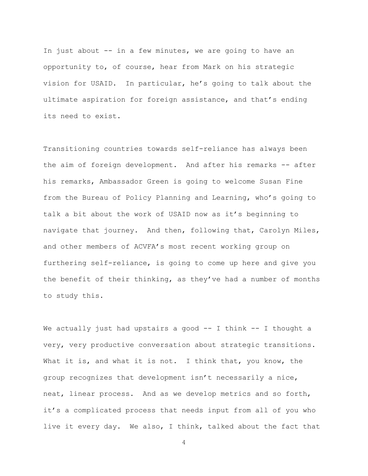In just about -- in a few minutes, we are going to have an opportunity to, of course, hear from Mark on his strategic vision for USAID. In particular, he's going to talk about the ultimate aspiration for foreign assistance, and that's ending its need to exist.

Transitioning countries towards self-reliance has always been the aim of foreign development. And after his remarks -- after his remarks, Ambassador Green is going to welcome Susan Fine from the Bureau of Policy Planning and Learning, who's going to talk a bit about the work of USAID now as it's beginning to navigate that journey. And then, following that, Carolyn Miles, and other members of ACVFA's most recent working group on furthering self-reliance, is going to come up here and give you the benefit of their thinking, as they've had a number of months to study this.

We actually just had upstairs a good  $-$  I think  $-$  I thought a very, very productive conversation about strategic transitions. What it is, and what it is not. I think that, you know, the group recognizes that development isn't necessarily a nice, neat, linear process. And as we develop metrics and so forth, it's a complicated process that needs input from all of you who live it every day. We also, I think, talked about the fact that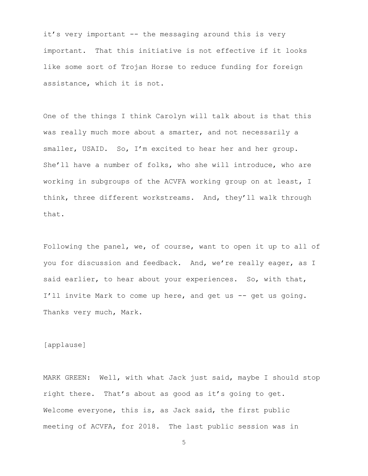it's very important -- the messaging around this is very important. That this initiative is not effective if it looks like some sort of Trojan Horse to reduce funding for foreign assistance, which it is not.

One of the things I think Carolyn will talk about is that this was really much more about a smarter, and not necessarily a smaller, USAID. So, I'm excited to hear her and her group. She'll have a number of folks, who she will introduce, who are working in subgroups of the ACVFA working group on at least, I think, three different workstreams. And, they'll walk through that.

Following the panel, we, of course, want to open it up to all of you for discussion and feedback. And, we're really eager, as I said earlier, to hear about your experiences. So, with that, I'll invite Mark to come up here, and get us -- get us going. Thanks very much, Mark.

[applause]

MARK GREEN: Well, with what Jack just said, maybe I should stop right there. That's about as good as it's going to get. Welcome everyone, this is, as Jack said, the first public meeting of ACVFA, for 2018. The last public session was in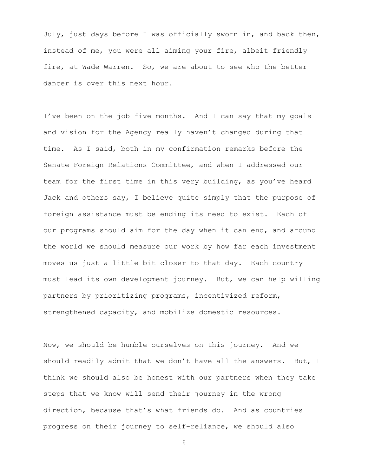July, just days before I was officially sworn in, and back then, instead of me, you were all aiming your fire, albeit friendly fire, at Wade Warren. So, we are about to see who the better dancer is over this next hour.

I've been on the job five months. And I can say that my goals and vision for the Agency really haven't changed during that time. As I said, both in my confirmation remarks before the Senate Foreign Relations Committee, and when I addressed our team for the first time in this very building, as you've heard Jack and others say, I believe quite simply that the purpose of foreign assistance must be ending its need to exist. Each of our programs should aim for the day when it can end, and around the world we should measure our work by how far each investment moves us just a little bit closer to that day. Each country must lead its own development journey. But, we can help willing partners by prioritizing programs, incentivized reform, strengthened capacity, and mobilize domestic resources.

Now, we should be humble ourselves on this journey. And we should readily admit that we don't have all the answers. But, I think we should also be honest with our partners when they take steps that we know will send their journey in the wrong direction, because that's what friends do. And as countries progress on their journey to self-reliance, we should also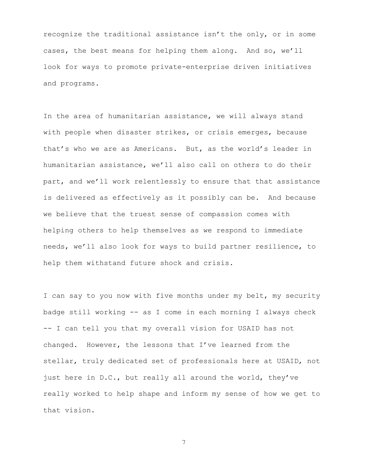recognize the traditional assistance isn't the only, or in some cases, the best means for helping them along. And so, we'll look for ways to promote private-enterprise driven initiatives and programs.

In the area of humanitarian assistance, we will always stand with people when disaster strikes, or crisis emerges, because that's who we are as Americans. But, as the world's leader in humanitarian assistance, we'll also call on others to do their part, and we'll work relentlessly to ensure that that assistance is delivered as effectively as it possibly can be. And because we believe that the truest sense of compassion comes with helping others to help themselves as we respond to immediate needs, we'll also look for ways to build partner resilience, to help them withstand future shock and crisis.

I can say to you now with five months under my belt, my security badge still working -- as I come in each morning I always check -- I can tell you that my overall vision for USAID has not changed. However, the lessons that I've learned from the stellar, truly dedicated set of professionals here at USAID, not just here in D.C., but really all around the world, they've really worked to help shape and inform my sense of how we get to that vision.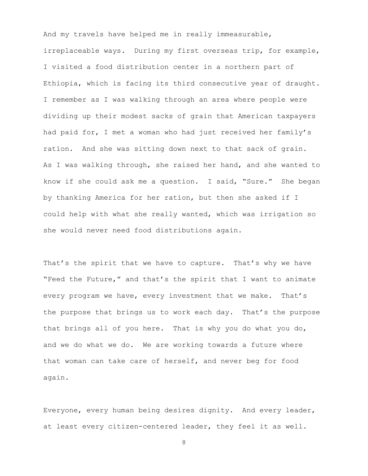And my travels have helped me in really immeasurable, irreplaceable ways. During my first overseas trip, for example, I visited a food distribution center in a northern part of Ethiopia, which is facing its third consecutive year of draught. I remember as I was walking through an area where people were dividing up their modest sacks of grain that American taxpayers had paid for, I met a woman who had just received her family's ration. And she was sitting down next to that sack of grain. As I was walking through, she raised her hand, and she wanted to know if she could ask me a question. I said, "Sure." She began by thanking America for her ration, but then she asked if I could help with what she really wanted, which was irrigation so she would never need food distributions again.

That's the spirit that we have to capture. That's why we have "Feed the Future," and that's the spirit that I want to animate every program we have, every investment that we make. That's the purpose that brings us to work each day. That's the purpose that brings all of you here. That is why you do what you do, and we do what we do. We are working towards a future where that woman can take care of herself, and never beg for food again.

Everyone, every human being desires dignity. And every leader, at least every citizen-centered leader, they feel it as well.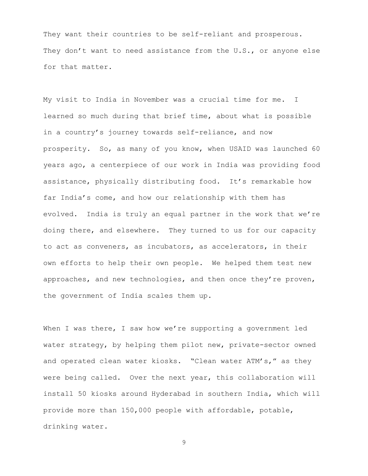They want their countries to be self-reliant and prosperous. They don't want to need assistance from the U.S., or anyone else for that matter.

My visit to India in November was a crucial time for me. I learned so much during that brief time, about what is possible in a country's journey towards self-reliance, and now prosperity. So, as many of you know, when USAID was launched 60 years ago, a centerpiece of our work in India was providing food assistance, physically distributing food. It's remarkable how far India's come, and how our relationship with them has evolved. India is truly an equal partner in the work that we're doing there, and elsewhere. They turned to us for our capacity to act as conveners, as incubators, as accelerators, in their own efforts to help their own people. We helped them test new approaches, and new technologies, and then once they're proven, the government of India scales them up.

When I was there, I saw how we're supporting a government led water strategy, by helping them pilot new, private-sector owned and operated clean water kiosks. "Clean water ATM's," as they were being called. Over the next year, this collaboration will install 50 kiosks around Hyderabad in southern India, which will provide more than 150,000 people with affordable, potable, drinking water.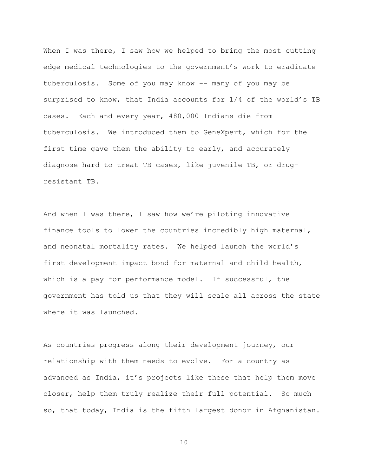When I was there, I saw how we helped to bring the most cutting edge medical technologies to the government's work to eradicate tuberculosis. Some of you may know -- many of you may be surprised to know, that India accounts for 1/4 of the world's TB cases. Each and every year, 480,000 Indians die from tuberculosis. We introduced them to GeneXpert, which for the first time gave them the ability to early, and accurately diagnose hard to treat TB cases, like juvenile TB, or drugresistant TB.

And when I was there, I saw how we're piloting innovative finance tools to lower the countries incredibly high maternal, and neonatal mortality rates. We helped launch the world's first development impact bond for maternal and child health, which is a pay for performance model. If successful, the government has told us that they will scale all across the state where it was launched.

As countries progress along their development journey, our relationship with them needs to evolve. For a country as advanced as India, it's projects like these that help them move closer, help them truly realize their full potential. So much so, that today, India is the fifth largest donor in Afghanistan.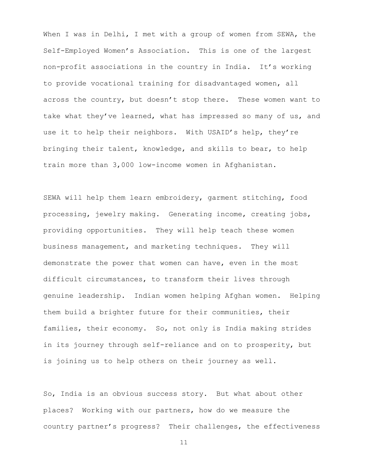When I was in Delhi, I met with a group of women from SEWA, the Self-Employed Women's Association. This is one of the largest non-profit associations in the country in India. It's working to provide vocational training for disadvantaged women, all across the country, but doesn't stop there. These women want to take what they've learned, what has impressed so many of us, and use it to help their neighbors. With USAID's help, they're bringing their talent, knowledge, and skills to bear, to help train more than 3,000 low-income women in Afghanistan.

SEWA will help them learn embroidery, garment stitching, food processing, jewelry making. Generating income, creating jobs, providing opportunities. They will help teach these women business management, and marketing techniques. They will demonstrate the power that women can have, even in the most difficult circumstances, to transform their lives through genuine leadership. Indian women helping Afghan women. Helping them build a brighter future for their communities, their families, their economy. So, not only is India making strides in its journey through self-reliance and on to prosperity, but is joining us to help others on their journey as well.

So, India is an obvious success story. But what about other places? Working with our partners, how do we measure the country partner's progress? Their challenges, the effectiveness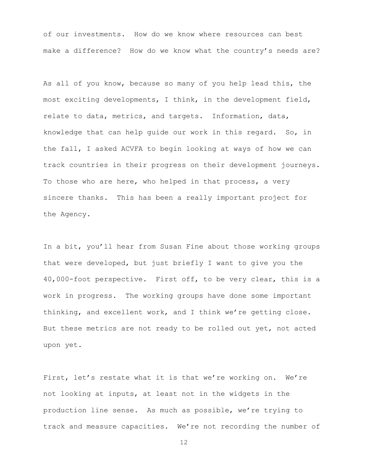of our investments. How do we know where resources can best make a difference? How do we know what the country's needs are?

As all of you know, because so many of you help lead this, the most exciting developments, I think, in the development field, relate to data, metrics, and targets. Information, data, knowledge that can help guide our work in this regard. So, in the fall, I asked ACVFA to begin looking at ways of how we can track countries in their progress on their development journeys. To those who are here, who helped in that process, a very sincere thanks. This has been a really important project for the Agency.

In a bit, you'll hear from Susan Fine about those working groups that were developed, but just briefly I want to give you the 40,000-foot perspective. First off, to be very clear, this is a work in progress. The working groups have done some important thinking, and excellent work, and I think we're getting close. But these metrics are not ready to be rolled out yet, not acted upon yet.

First, let's restate what it is that we're working on. We're not looking at inputs, at least not in the widgets in the production line sense. As much as possible, we're trying to track and measure capacities. We're not recording the number of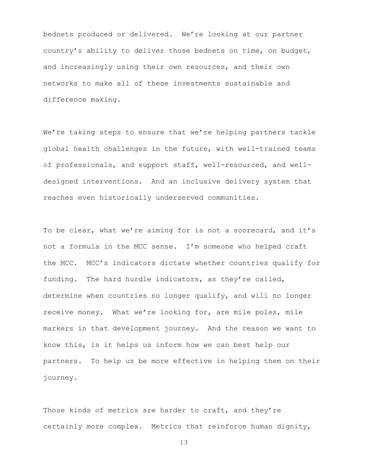bednets produced or delivered. We're looking at our partner country's ability to deliver those bednets on time, on budget, and increasingly using their own resources, and their own networks to make all of these investments sustainable and difference making.

We're taking steps to ensure that we're helping partners tackle global health challenges in the future, with well-trained teams of professionals, and support staff, well-resourced, and welldesigned interventions. And an inclusive delivery system that reaches even historically underserved communities.

To be clear, what we're aiming for is not a scorecard, and it's not a formula in the MCC sense. I'm someone who helped craft the MCC. MCC's indicators dictate whether countries qualify for funding. The hard hurdle indicators, as they're called, determine when countries no longer qualify, and will no longer receive money. What we're looking for, are mile poles, mile markers in that development journey. And the reason we want to know this, is it helps us inform how we can best help our partners. To help us be more effective in helping them on their journey.

Those kinds of metrics are harder to craft, and they're certainly more complex. Metrics that reinforce human dignity,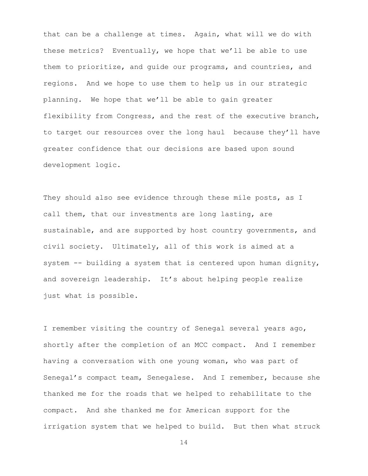that can be a challenge at times. Again, what will we do with these metrics? Eventually, we hope that we'll be able to use them to prioritize, and guide our programs, and countries, and regions. And we hope to use them to help us in our strategic planning. We hope that we'll be able to gain greater flexibility from Congress, and the rest of the executive branch, to target our resources over the long haul because they'll have greater confidence that our decisions are based upon sound development logic.

They should also see evidence through these mile posts, as I call them, that our investments are long lasting, are sustainable, and are supported by host country governments, and civil society. Ultimately, all of this work is aimed at a system -- building a system that is centered upon human dignity, and sovereign leadership. It's about helping people realize just what is possible.

I remember visiting the country of Senegal several years ago, shortly after the completion of an MCC compact. And I remember having a conversation with one young woman, who was part of Senegal's compact team, Senegalese. And I remember, because she thanked me for the roads that we helped to rehabilitate to the compact. And she thanked me for American support for the irrigation system that we helped to build. But then what struck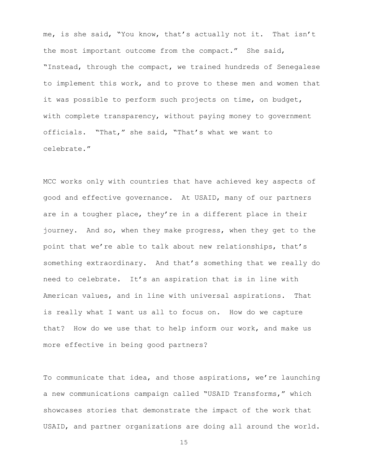me, is she said, "You know, that's actually not it. That isn't the most important outcome from the compact." She said, "Instead, through the compact, we trained hundreds of Senegalese to implement this work, and to prove to these men and women that it was possible to perform such projects on time, on budget, with complete transparency, without paying money to government officials. "That," she said, "That's what we want to celebrate."

MCC works only with countries that have achieved key aspects of good and effective governance. At USAID, many of our partners are in a tougher place, they're in a different place in their journey. And so, when they make progress, when they get to the point that we're able to talk about new relationships, that's something extraordinary. And that's something that we really do need to celebrate. It's an aspiration that is in line with American values, and in line with universal aspirations. That is really what I want us all to focus on. How do we capture that? How do we use that to help inform our work, and make us more effective in being good partners?

To communicate that idea, and those aspirations, we're launching a new communications campaign called "USAID Transforms," which showcases stories that demonstrate the impact of the work that USAID, and partner organizations are doing all around the world.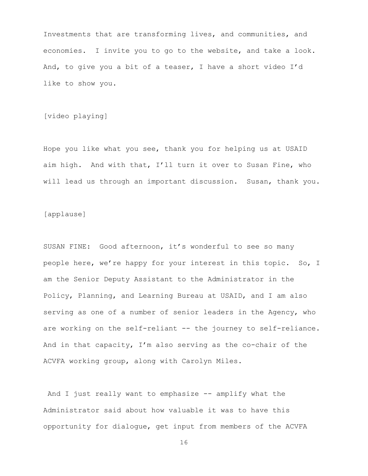Investments that are transforming lives, and communities, and economies. I invite you to go to the website, and take a look. And, to give you a bit of a teaser, I have a short video I'd like to show you.

[video playing]

Hope you like what you see, thank you for helping us at USAID aim high. And with that, I'll turn it over to Susan Fine, who will lead us through an important discussion. Susan, thank you.

[applause]

SUSAN FINE: Good afternoon, it's wonderful to see so many people here, we're happy for your interest in this topic. So, I am the Senior Deputy Assistant to the Administrator in the Policy, Planning, and Learning Bureau at USAID, and I am also serving as one of a number of senior leaders in the Agency, who are working on the self-reliant -- the journey to self-reliance. And in that capacity, I'm also serving as the co-chair of the ACVFA working group, along with Carolyn Miles.

And I just really want to emphasize -- amplify what the Administrator said about how valuable it was to have this opportunity for dialogue, get input from members of the ACVFA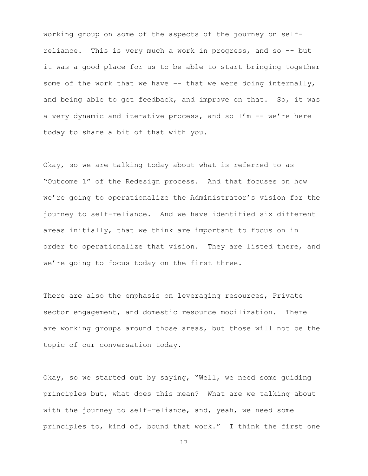working group on some of the aspects of the journey on selfreliance. This is very much a work in progress, and so -- but it was a good place for us to be able to start bringing together some of the work that we have -- that we were doing internally, and being able to get feedback, and improve on that. So, it was a very dynamic and iterative process, and so  $I'm -- we're here$ today to share a bit of that with you.

Okay, so we are talking today about what is referred to as "Outcome 1" of the Redesign process. And that focuses on how we're going to operationalize the Administrator's vision for the journey to self-reliance. And we have identified six different areas initially, that we think are important to focus on in order to operationalize that vision. They are listed there, and we're going to focus today on the first three.

There are also the emphasis on leveraging resources, Private sector engagement, and domestic resource mobilization. There are working groups around those areas, but those will not be the topic of our conversation today.

Okay, so we started out by saying, "Well, we need some guiding principles but, what does this mean? What are we talking about with the journey to self-reliance, and, yeah, we need some principles to, kind of, bound that work." I think the first one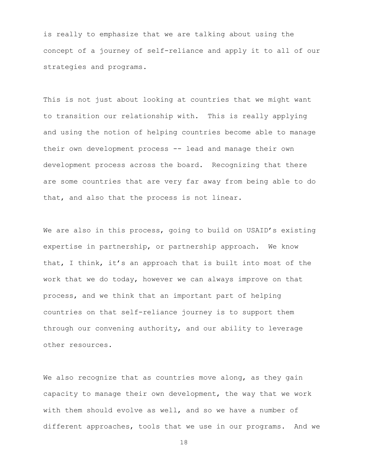is really to emphasize that we are talking about using the concept of a journey of self-reliance and apply it to all of our strategies and programs.

This is not just about looking at countries that we might want to transition our relationship with. This is really applying and using the notion of helping countries become able to manage their own development process -- lead and manage their own development process across the board. Recognizing that there are some countries that are very far away from being able to do that, and also that the process is not linear.

We are also in this process, going to build on USAID's existing expertise in partnership, or partnership approach. We know that, I think, it's an approach that is built into most of the work that we do today, however we can always improve on that process, and we think that an important part of helping countries on that self-reliance journey is to support them through our convening authority, and our ability to leverage other resources.

We also recognize that as countries move along, as they gain capacity to manage their own development, the way that we work with them should evolve as well, and so we have a number of different approaches, tools that we use in our programs. And we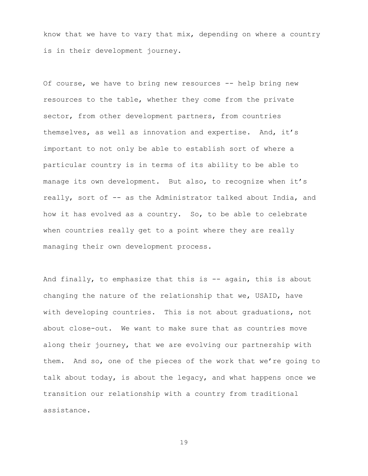know that we have to vary that mix, depending on where a country is in their development journey.

Of course, we have to bring new resources -- help bring new resources to the table, whether they come from the private sector, from other development partners, from countries themselves, as well as innovation and expertise. And, it's important to not only be able to establish sort of where a particular country is in terms of its ability to be able to manage its own development. But also, to recognize when it's really, sort of -- as the Administrator talked about India, and how it has evolved as a country. So, to be able to celebrate when countries really get to a point where they are really managing their own development process.

And finally, to emphasize that this is -- again, this is about changing the nature of the relationship that we, USAID, have with developing countries. This is not about graduations, not about close-out. We want to make sure that as countries move along their journey, that we are evolving our partnership with them. And so, one of the pieces of the work that we're going to talk about today, is about the legacy, and what happens once we transition our relationship with a country from traditional assistance.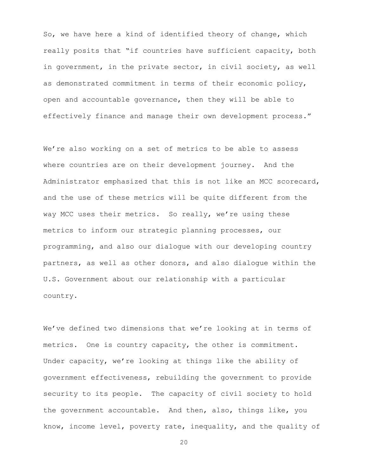So, we have here a kind of identified theory of change, which really posits that "if countries have sufficient capacity, both in government, in the private sector, in civil society, as well as demonstrated commitment in terms of their economic policy, open and accountable governance, then they will be able to effectively finance and manage their own development process."

We're also working on a set of metrics to be able to assess where countries are on their development journey. And the Administrator emphasized that this is not like an MCC scorecard, and the use of these metrics will be quite different from the way MCC uses their metrics. So really, we're using these metrics to inform our strategic planning processes, our programming, and also our dialogue with our developing country partners, as well as other donors, and also dialogue within the U.S. Government about our relationship with a particular country.

We've defined two dimensions that we're looking at in terms of metrics. One is country capacity, the other is commitment. Under capacity, we're looking at things like the ability of government effectiveness, rebuilding the government to provide security to its people. The capacity of civil society to hold the government accountable. And then, also, things like, you know, income level, poverty rate, inequality, and the quality of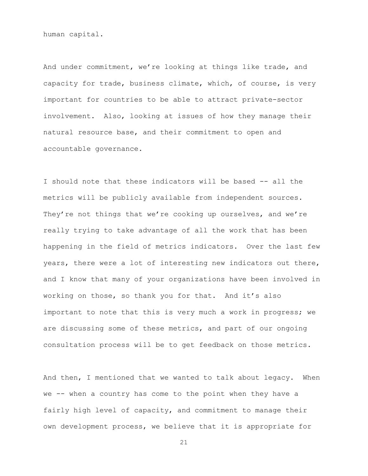human capital.

And under commitment, we're looking at things like trade, and capacity for trade, business climate, which, of course, is very important for countries to be able to attract private-sector involvement. Also, looking at issues of how they manage their natural resource base, and their commitment to open and accountable governance.

I should note that these indicators will be based -- all the metrics will be publicly available from independent sources. They're not things that we're cooking up ourselves, and we're really trying to take advantage of all the work that has been happening in the field of metrics indicators. Over the last few years, there were a lot of interesting new indicators out there, and I know that many of your organizations have been involved in working on those, so thank you for that. And it's also important to note that this is very much a work in progress; we are discussing some of these metrics, and part of our ongoing consultation process will be to get feedback on those metrics.

And then, I mentioned that we wanted to talk about legacy. When we -- when a country has come to the point when they have a fairly high level of capacity, and commitment to manage their own development process, we believe that it is appropriate for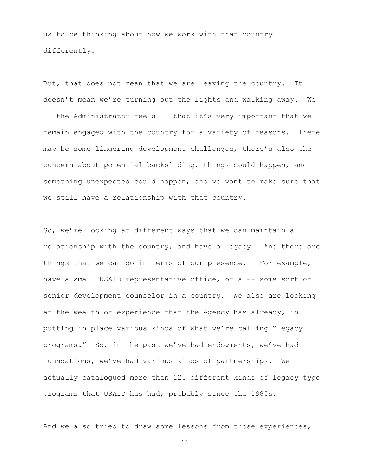us to be thinking about how we work with that country differently.

But, that does not mean that we are leaving the country. It doesn't mean we're turning out the lights and walking away. We -- the Administrator feels -- that it's very important that we remain engaged with the country for a variety of reasons. There may be some lingering development challenges, there's also the concern about potential backsliding, things could happen, and something unexpected could happen, and we want to make sure that we still have a relationship with that country.

So, we're looking at different ways that we can maintain a relationship with the country, and have a legacy. And there are things that we can do in terms of our presence. For example, have a small USAID representative office, or a -- some sort of senior development counselor in a country. We also are looking at the wealth of experience that the Agency has already, in putting in place various kinds of what we're calling "legacy programs." So, in the past we've had endowments, we've had foundations, we've had various kinds of partnerships. We actually catalogued more than 125 different kinds of legacy type programs that USAID has had, probably since the 1980s.

And we also tried to draw some lessons from those experiences,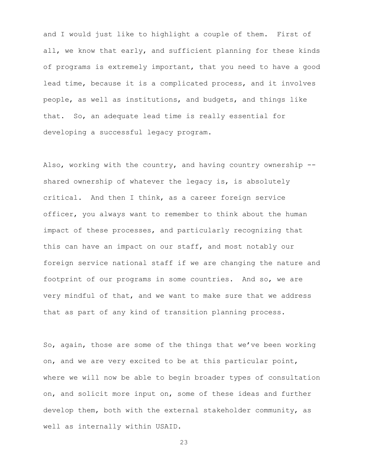and I would just like to highlight a couple of them. First of all, we know that early, and sufficient planning for these kinds of programs is extremely important, that you need to have a good lead time, because it is a complicated process, and it involves people, as well as institutions, and budgets, and things like that. So, an adequate lead time is really essential for developing a successful legacy program.

Also, working with the country, and having country ownership -shared ownership of whatever the legacy is, is absolutely critical. And then I think, as a career foreign service officer, you always want to remember to think about the human impact of these processes, and particularly recognizing that this can have an impact on our staff, and most notably our foreign service national staff if we are changing the nature and footprint of our programs in some countries. And so, we are very mindful of that, and we want to make sure that we address that as part of any kind of transition planning process.

So, again, those are some of the things that we've been working on, and we are very excited to be at this particular point, where we will now be able to begin broader types of consultation on, and solicit more input on, some of these ideas and further develop them, both with the external stakeholder community, as well as internally within USAID.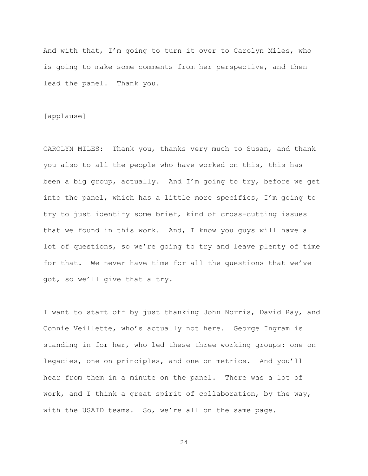And with that, I'm going to turn it over to Carolyn Miles, who is going to make some comments from her perspective, and then lead the panel. Thank you.

#### [applause]

CAROLYN MILES: Thank you, thanks very much to Susan, and thank you also to all the people who have worked on this, this has been a big group, actually. And I'm going to try, before we get into the panel, which has a little more specifics, I'm going to try to just identify some brief, kind of cross-cutting issues that we found in this work. And, I know you guys will have a lot of questions, so we're going to try and leave plenty of time for that. We never have time for all the questions that we've got, so we'll give that a try.

I want to start off by just thanking John Norris, David Ray, and Connie Veillette, who's actually not here. George Ingram is standing in for her, who led these three working groups: one on legacies, one on principles, and one on metrics. And you'll hear from them in a minute on the panel. There was a lot of work, and I think a great spirit of collaboration, by the way, with the USAID teams. So, we're all on the same page.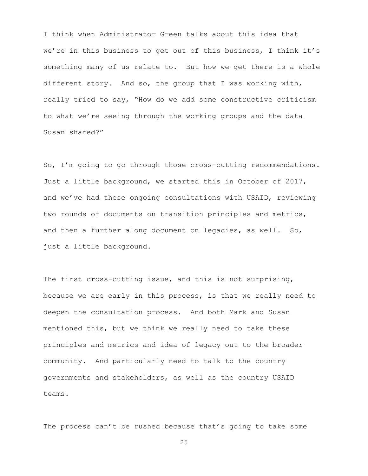I think when Administrator Green talks about this idea that we're in this business to get out of this business, I think it's something many of us relate to. But how we get there is a whole different story. And so, the group that I was working with, really tried to say, "How do we add some constructive criticism to what we're seeing through the working groups and the data Susan shared?"

So, I'm going to go through those cross-cutting recommendations. Just a little background, we started this in October of 2017, and we've had these ongoing consultations with USAID, reviewing two rounds of documents on transition principles and metrics, and then a further along document on legacies, as well. So, just a little background.

The first cross-cutting issue, and this is not surprising, because we are early in this process, is that we really need to deepen the consultation process. And both Mark and Susan mentioned this, but we think we really need to take these principles and metrics and idea of legacy out to the broader community. And particularly need to talk to the country governments and stakeholders, as well as the country USAID teams.

The process can't be rushed because that's going to take some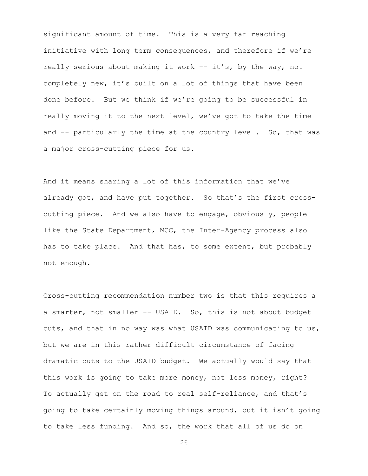significant amount of time. This is a very far reaching initiative with long term consequences, and therefore if we're really serious about making it work -- it's, by the way, not completely new, it's built on a lot of things that have been done before. But we think if we're going to be successful in really moving it to the next level, we've got to take the time and -- particularly the time at the country level. So, that was a major cross-cutting piece for us.

And it means sharing a lot of this information that we've already got, and have put together. So that's the first crosscutting piece. And we also have to engage, obviously, people like the State Department, MCC, the Inter-Agency process also has to take place. And that has, to some extent, but probably not enough.

Cross-cutting recommendation number two is that this requires a a smarter, not smaller -- USAID. So, this is not about budget cuts, and that in no way was what USAID was communicating to us, but we are in this rather difficult circumstance of facing dramatic cuts to the USAID budget. We actually would say that this work is going to take more money, not less money, right? To actually get on the road to real self-reliance, and that's going to take certainly moving things around, but it isn't going to take less funding. And so, the work that all of us do on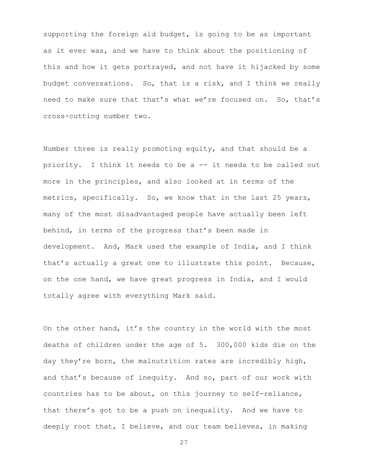supporting the foreign aid budget, is going to be as important as it ever was, and we have to think about the positioning of this and how it gets portrayed, and not have it hijacked by some budget conversations. So, that is a risk, and I think we really need to make sure that that's what we're focused on. So, that's cross-cutting number two.

Number three is really promoting equity, and that should be a priority. I think it needs to be a -- it needs to be called out more in the principles, and also looked at in terms of the metrics, specifically. So, we know that in the last 25 years, many of the most disadvantaged people have actually been left behind, in terms of the progress that's been made in development. And, Mark used the example of India, and I think that's actually a great one to illustrate this point. Because, on the one hand, we have great progress in India, and I would totally agree with everything Mark said.

On the other hand, it's the country in the world with the most deaths of children under the age of 5. 300,000 kids die on the day they're born, the malnutrition rates are incredibly high, and that's because of inequity. And so, part of our work with countries has to be about, on this journey to self-reliance, that there's got to be a push on inequality. And we have to deeply root that, I believe, and our team believes, in making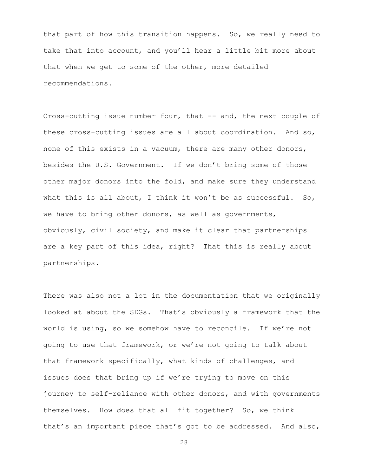that part of how this transition happens. So, we really need to take that into account, and you'll hear a little bit more about that when we get to some of the other, more detailed recommendations.

Cross-cutting issue number four, that -- and, the next couple of these cross-cutting issues are all about coordination. And so, none of this exists in a vacuum, there are many other donors, besides the U.S. Government. If we don't bring some of those other major donors into the fold, and make sure they understand what this is all about, I think it won't be as successful. So, we have to bring other donors, as well as governments, obviously, civil society, and make it clear that partnerships are a key part of this idea, right? That this is really about partnerships.

There was also not a lot in the documentation that we originally looked at about the SDGs. That's obviously a framework that the world is using, so we somehow have to reconcile. If we're not going to use that framework, or we're not going to talk about that framework specifically, what kinds of challenges, and issues does that bring up if we're trying to move on this journey to self-reliance with other donors, and with governments themselves. How does that all fit together? So, we think that's an important piece that's got to be addressed. And also,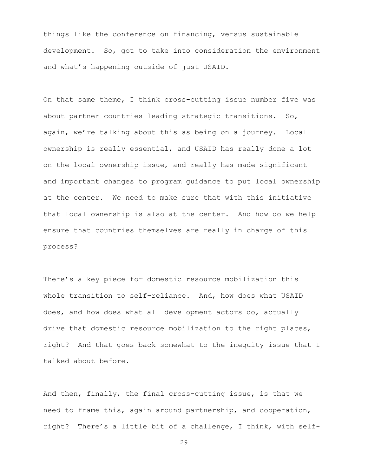things like the conference on financing, versus sustainable development. So, got to take into consideration the environment and what's happening outside of just USAID.

On that same theme, I think cross-cutting issue number five was about partner countries leading strategic transitions. So, again, we're talking about this as being on a journey. Local ownership is really essential, and USAID has really done a lot on the local ownership issue, and really has made significant and important changes to program guidance to put local ownership at the center. We need to make sure that with this initiative that local ownership is also at the center. And how do we help ensure that countries themselves are really in charge of this process?

There's a key piece for domestic resource mobilization this whole transition to self-reliance. And, how does what USAID does, and how does what all development actors do, actually drive that domestic resource mobilization to the right places, right? And that goes back somewhat to the inequity issue that I talked about before.

And then, finally, the final cross-cutting issue, is that we need to frame this, again around partnership, and cooperation, right? There's a little bit of a challenge, I think, with self-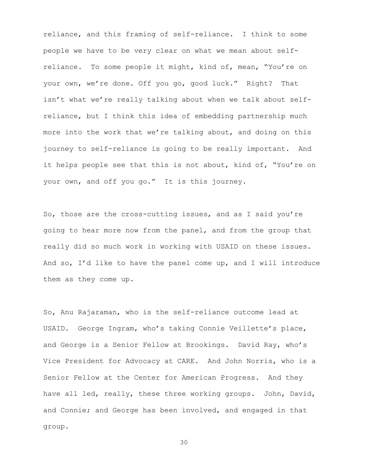reliance, and this framing of self-reliance. I think to some people we have to be very clear on what we mean about selfreliance. To some people it might, kind of, mean, "You're on your own, we're done. Off you go, good luck." Right? That isn't what we're really talking about when we talk about selfreliance, but I think this idea of embedding partnership much more into the work that we're talking about, and doing on this journey to self-reliance is going to be really important. And it helps people see that this is not about, kind of, "You're on your own, and off you go." It is this journey.

So, those are the cross-cutting issues, and as I said you're going to hear more now from the panel, and from the group that really did so much work in working with USAID on these issues. And so, I'd like to have the panel come up, and I will introduce them as they come up.

So, Anu Rajaraman, who is the self-reliance outcome lead at USAID. George Ingram, who's taking Connie Veillette's place, and George is a Senior Fellow at Brookings. David Ray, who's Vice President for Advocacy at CARE. And John Norris, who is a Senior Fellow at the Center for American Progress. And they have all led, really, these three working groups. John, David, and Connie; and George has been involved, and engaged in that group.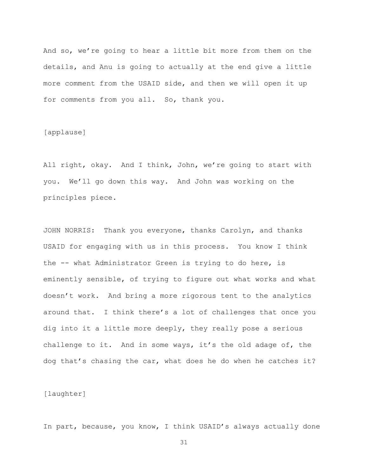And so, we're going to hear a little bit more from them on the details, and Anu is going to actually at the end give a little more comment from the USAID side, and then we will open it up for comments from you all. So, thank you.

[applause]

All right, okay. And I think, John, we're going to start with you. We'll go down this way. And John was working on the principles piece.

JOHN NORRIS: Thank you everyone, thanks Carolyn, and thanks USAID for engaging with us in this process. You know I think the -- what Administrator Green is trying to do here, is eminently sensible, of trying to figure out what works and what doesn't work. And bring a more rigorous tent to the analytics around that. I think there's a lot of challenges that once you dig into it a little more deeply, they really pose a serious challenge to it. And in some ways, it's the old adage of, the dog that's chasing the car, what does he do when he catches it?

[laughter]

In part, because, you know, I think USAID's always actually done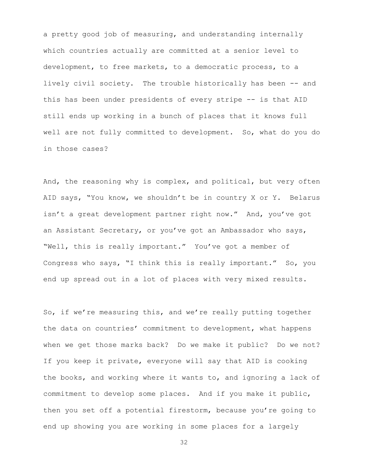a pretty good job of measuring, and understanding internally which countries actually are committed at a senior level to development, to free markets, to a democratic process, to a lively civil society. The trouble historically has been -- and this has been under presidents of every stripe -- is that AID still ends up working in a bunch of places that it knows full well are not fully committed to development. So, what do you do in those cases?

And, the reasoning why is complex, and political, but very often AID says, "You know, we shouldn't be in country X or Y. Belarus isn't a great development partner right now." And, you've got an Assistant Secretary, or you've got an Ambassador who says, "Well, this is really important." You've got a member of Congress who says, "I think this is really important." So, you end up spread out in a lot of places with very mixed results.

So, if we're measuring this, and we're really putting together the data on countries' commitment to development, what happens when we get those marks back? Do we make it public? Do we not? If you keep it private, everyone will say that AID is cooking the books, and working where it wants to, and ignoring a lack of commitment to develop some places. And if you make it public, then you set off a potential firestorm, because you're going to end up showing you are working in some places for a largely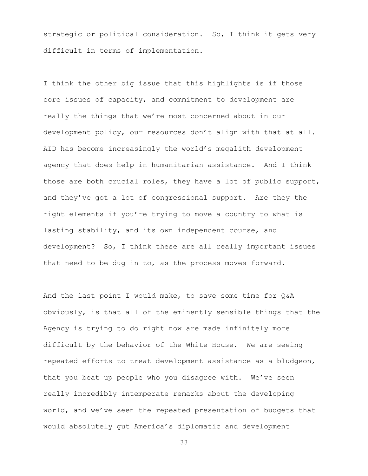strategic or political consideration. So, I think it gets very difficult in terms of implementation.

I think the other big issue that this highlights is if those core issues of capacity, and commitment to development are really the things that we're most concerned about in our development policy, our resources don't align with that at all. AID has become increasingly the world's megalith development agency that does help in humanitarian assistance. And I think those are both crucial roles, they have a lot of public support, and they've got a lot of congressional support. Are they the right elements if you're trying to move a country to what is lasting stability, and its own independent course, and development? So, I think these are all really important issues that need to be dug in to, as the process moves forward.

And the last point I would make, to save some time for Q&A obviously, is that all of the eminently sensible things that the Agency is trying to do right now are made infinitely more difficult by the behavior of the White House. We are seeing repeated efforts to treat development assistance as a bludgeon, that you beat up people who you disagree with. We've seen really incredibly intemperate remarks about the developing world, and we've seen the repeated presentation of budgets that would absolutely gut America's diplomatic and development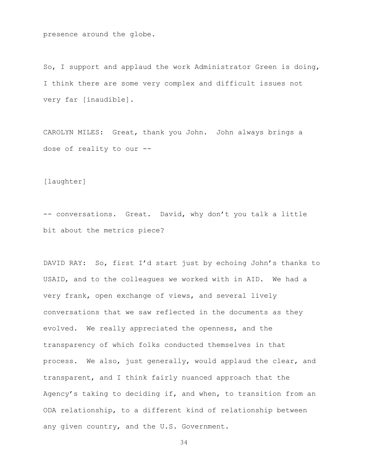presence around the globe.

So, I support and applaud the work Administrator Green is doing, I think there are some very complex and difficult issues not very far [inaudible].

CAROLYN MILES: Great, thank you John. John always brings a dose of reality to our --

[laughter]

-- conversations. Great. David, why don't you talk a little bit about the metrics piece?

DAVID RAY: So, first I'd start just by echoing John's thanks to USAID, and to the colleagues we worked with in AID. We had a very frank, open exchange of views, and several lively conversations that we saw reflected in the documents as they evolved. We really appreciated the openness, and the transparency of which folks conducted themselves in that process. We also, just generally, would applaud the clear, and transparent, and I think fairly nuanced approach that the Agency's taking to deciding if, and when, to transition from an ODA relationship, to a different kind of relationship between any given country, and the U.S. Government.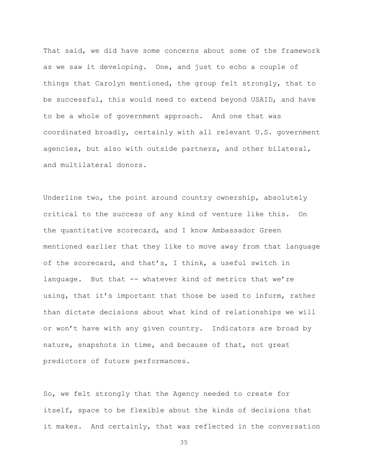That said, we did have some concerns about some of the framework as we saw it developing. One, and just to echo a couple of things that Carolyn mentioned, the group felt strongly, that to be successful, this would need to extend beyond USAID, and have to be a whole of government approach. And one that was coordinated broadly, certainly with all relevant U.S. government agencies, but also with outside partners, and other bilateral, and multilateral donors.

Underline two, the point around country ownership, absolutely critical to the success of any kind of venture like this. On the quantitative scorecard, and I know Ambassador Green mentioned earlier that they like to move away from that language of the scorecard, and that's, I think, a useful switch in language. But that -- whatever kind of metrics that we're using, that it's important that those be used to inform, rather than dictate decisions about what kind of relationships we will or won't have with any given country. Indicators are broad by nature, snapshots in time, and because of that, not great predictors of future performances.

So, we felt strongly that the Agency needed to create for itself, space to be flexible about the kinds of decisions that it makes. And certainly, that was reflected in the conversation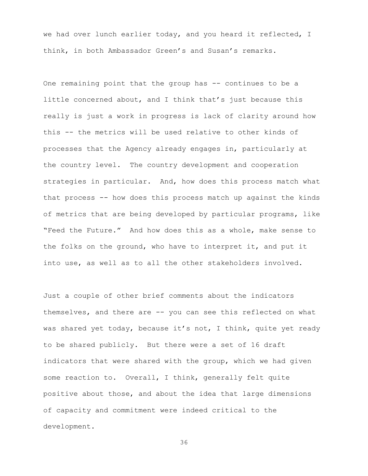we had over lunch earlier today, and you heard it reflected, I think, in both Ambassador Green's and Susan's remarks.

One remaining point that the group has -- continues to be a little concerned about, and I think that's just because this really is just a work in progress is lack of clarity around how this -- the metrics will be used relative to other kinds of processes that the Agency already engages in, particularly at the country level. The country development and cooperation strategies in particular. And, how does this process match what that process -- how does this process match up against the kinds of metrics that are being developed by particular programs, like "Feed the Future." And how does this as a whole, make sense to the folks on the ground, who have to interpret it, and put it into use, as well as to all the other stakeholders involved.

Just a couple of other brief comments about the indicators themselves, and there are -- you can see this reflected on what was shared yet today, because it's not, I think, quite yet ready to be shared publicly. But there were a set of 16 draft indicators that were shared with the group, which we had given some reaction to. Overall, I think, generally felt quite positive about those, and about the idea that large dimensions of capacity and commitment were indeed critical to the development.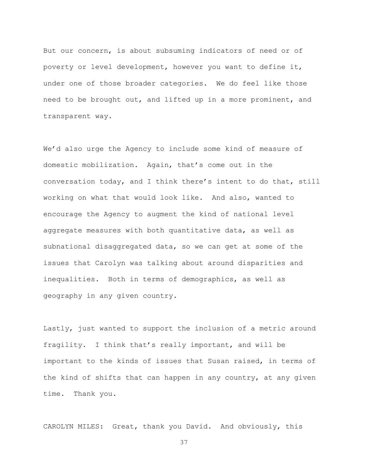But our concern, is about subsuming indicators of need or of poverty or level development, however you want to define it, under one of those broader categories. We do feel like those need to be brought out, and lifted up in a more prominent, and transparent way.

We'd also urge the Agency to include some kind of measure of domestic mobilization. Again, that's come out in the conversation today, and I think there's intent to do that, still working on what that would look like. And also, wanted to encourage the Agency to augment the kind of national level aggregate measures with both quantitative data, as well as subnational disaggregated data, so we can get at some of the issues that Carolyn was talking about around disparities and inequalities. Both in terms of demographics, as well as geography in any given country.

Lastly, just wanted to support the inclusion of a metric around fragility. I think that's really important, and will be important to the kinds of issues that Susan raised, in terms of the kind of shifts that can happen in any country, at any given time. Thank you.

CAROLYN MILES: Great, thank you David. And obviously, this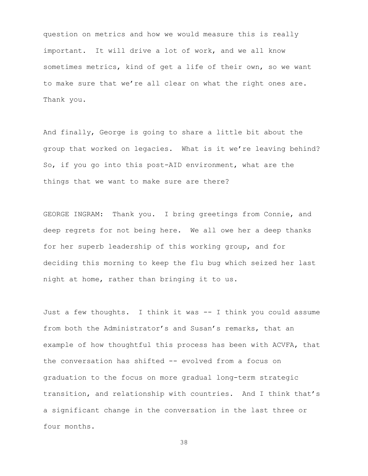question on metrics and how we would measure this is really important. It will drive a lot of work, and we all know sometimes metrics, kind of get a life of their own, so we want to make sure that we're all clear on what the right ones are. Thank you.

And finally, George is going to share a little bit about the group that worked on legacies. What is it we're leaving behind? So, if you go into this post-AID environment, what are the things that we want to make sure are there?

GEORGE INGRAM: Thank you. I bring greetings from Connie, and deep regrets for not being here. We all owe her a deep thanks for her superb leadership of this working group, and for deciding this morning to keep the flu bug which seized her last night at home, rather than bringing it to us.

Just a few thoughts. I think it was -- I think you could assume from both the Administrator's and Susan's remarks, that an example of how thoughtful this process has been with ACVFA, that the conversation has shifted -- evolved from a focus on graduation to the focus on more gradual long-term strategic transition, and relationship with countries. And I think that's a significant change in the conversation in the last three or four months.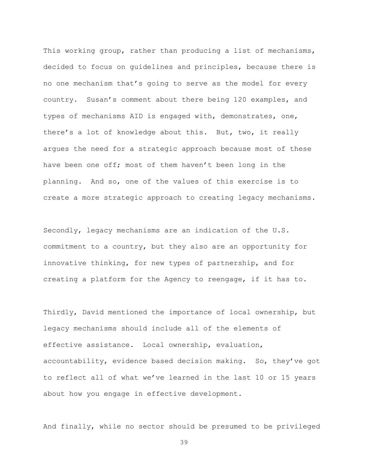This working group, rather than producing a list of mechanisms, decided to focus on guidelines and principles, because there is no one mechanism that's going to serve as the model for every country. Susan's comment about there being 120 examples, and types of mechanisms AID is engaged with, demonstrates, one, there's a lot of knowledge about this. But, two, it really argues the need for a strategic approach because most of these have been one off; most of them haven't been long in the planning. And so, one of the values of this exercise is to create a more strategic approach to creating legacy mechanisms.

Secondly, legacy mechanisms are an indication of the U.S. commitment to a country, but they also are an opportunity for innovative thinking, for new types of partnership, and for creating a platform for the Agency to reengage, if it has to.

Thirdly, David mentioned the importance of local ownership, but legacy mechanisms should include all of the elements of effective assistance. Local ownership, evaluation, accountability, evidence based decision making. So, they've got to reflect all of what we've learned in the last 10 or 15 years about how you engage in effective development.

And finally, while no sector should be presumed to be privileged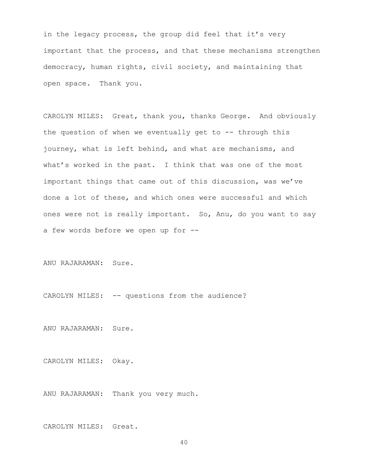in the legacy process, the group did feel that it's very important that the process, and that these mechanisms strengthen democracy, human rights, civil society, and maintaining that open space. Thank you.

CAROLYN MILES: Great, thank you, thanks George. And obviously the question of when we eventually get to  $-$ - through this journey, what is left behind, and what are mechanisms, and what's worked in the past. I think that was one of the most important things that came out of this discussion, was we've done a lot of these, and which ones were successful and which ones were not is really important. So, Anu, do you want to say a few words before we open up for --

ANU RAJARAMAN: Sure.

CAROLYN MILES: -- questions from the audience?

ANU RAJARAMAN: Sure.

CAROLYN MILES: Okay.

ANU RAJARAMAN: Thank you very much.

CAROLYN MILES: Great.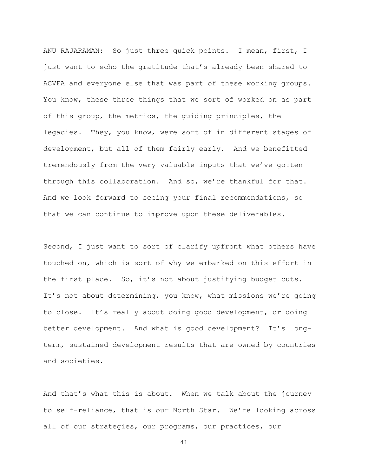ANU RAJARAMAN: So just three quick points. I mean, first, I just want to echo the gratitude that's already been shared to ACVFA and everyone else that was part of these working groups. You know, these three things that we sort of worked on as part of this group, the metrics, the guiding principles, the legacies. They, you know, were sort of in different stages of development, but all of them fairly early. And we benefitted tremendously from the very valuable inputs that we've gotten through this collaboration. And so, we're thankful for that. And we look forward to seeing your final recommendations, so that we can continue to improve upon these deliverables.

Second, I just want to sort of clarify upfront what others have touched on, which is sort of why we embarked on this effort in the first place. So, it's not about justifying budget cuts. It's not about determining, you know, what missions we're going to close. It's really about doing good development, or doing better development. And what is good development? It's longterm, sustained development results that are owned by countries and societies.

And that's what this is about. When we talk about the journey to self-reliance, that is our North Star. We're looking across all of our strategies, our programs, our practices, our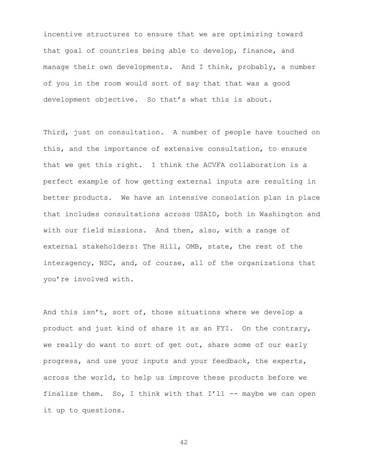incentive structures to ensure that we are optimizing toward that goal of countries being able to develop, finance, and manage their own developments. And I think, probably, a number of you in the room would sort of say that that was a good development objective. So that's what this is about.

Third, just on consultation. A number of people have touched on this, and the importance of extensive consultation, to ensure that we get this right. I think the ACVFA collaboration is a perfect example of how getting external inputs are resulting in better products. We have an intensive consolation plan in place that includes consultations across USAID, both in Washington and with our field missions. And then, also, with a range of external stakeholders: The Hill, OMB, state, the rest of the interagency, NSC, and, of course, all of the organizations that you're involved with.

And this isn't, sort of, those situations where we develop a product and just kind of share it as an FYI. On the contrary, we really do want to sort of get out, share some of our early progress, and use your inputs and your feedback, the experts, across the world, to help us improve these products before we finalize them. So, I think with that  $I'11$  -- maybe we can open it up to questions.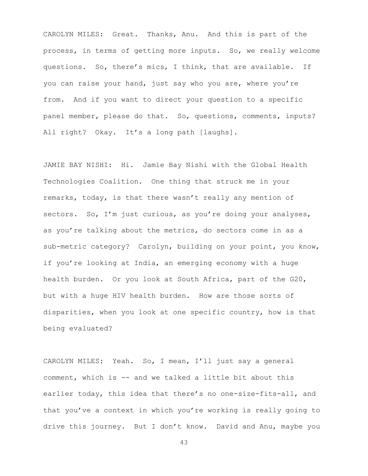CAROLYN MILES: Great. Thanks, Anu. And this is part of the process, in terms of getting more inputs. So, we really welcome questions. So, there's mics, I think, that are available. If you can raise your hand, just say who you are, where you're from. And if you want to direct your question to a specific panel member, please do that. So, questions, comments, inputs? All right? Okay. It's a long path [laughs].

JAMIE BAY NISHI: Hi. Jamie Bay Nishi with the Global Health Technologies Coalition. One thing that struck me in your remarks, today, is that there wasn't really any mention of sectors. So, I'm just curious, as you're doing your analyses, as you're talking about the metrics, do sectors come in as a sub-metric category? Carolyn, building on your point, you know, if you're looking at India, an emerging economy with a huge health burden. Or you look at South Africa, part of the G20, but with a huge HIV health burden. How are those sorts of disparities, when you look at one specific country, how is that being evaluated?

CAROLYN MILES: Yeah. So, I mean, I'll just say a general comment, which is -- and we talked a little bit about this earlier today, this idea that there's no one-size-fits-all, and that you've a context in which you're working is really going to drive this journey. But I don't know. David and Anu, maybe you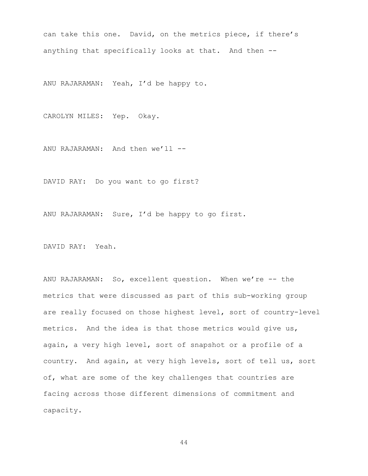can take this one. David, on the metrics piece, if there's anything that specifically looks at that. And then --

ANU RAJARAMAN: Yeah, I'd be happy to.

CAROLYN MILES: Yep. Okay.

ANU RAJARAMAN: And then we'll --

DAVID RAY: Do you want to go first?

ANU RAJARAMAN: Sure, I'd be happy to go first.

DAVID RAY: Yeah.

ANU RAJARAMAN: So, excellent question. When we're -- the metrics that were discussed as part of this sub-working group are really focused on those highest level, sort of country-level metrics. And the idea is that those metrics would give us, again, a very high level, sort of snapshot or a profile of a country. And again, at very high levels, sort of tell us, sort of, what are some of the key challenges that countries are facing across those different dimensions of commitment and capacity.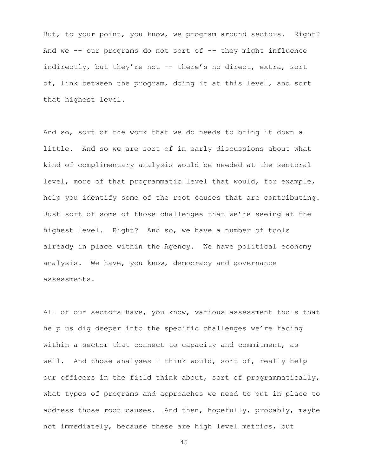But, to your point, you know, we program around sectors. Right? And we  $--$  our programs do not sort of  $--$  they might influence indirectly, but they're not -- there's no direct, extra, sort of, link between the program, doing it at this level, and sort that highest level.

And so, sort of the work that we do needs to bring it down a little. And so we are sort of in early discussions about what kind of complimentary analysis would be needed at the sectoral level, more of that programmatic level that would, for example, help you identify some of the root causes that are contributing. Just sort of some of those challenges that we're seeing at the highest level. Right? And so, we have a number of tools already in place within the Agency. We have political economy analysis. We have, you know, democracy and governance assessments.

All of our sectors have, you know, various assessment tools that help us dig deeper into the specific challenges we're facing within a sector that connect to capacity and commitment, as well. And those analyses I think would, sort of, really help our officers in the field think about, sort of programmatically, what types of programs and approaches we need to put in place to address those root causes. And then, hopefully, probably, maybe not immediately, because these are high level metrics, but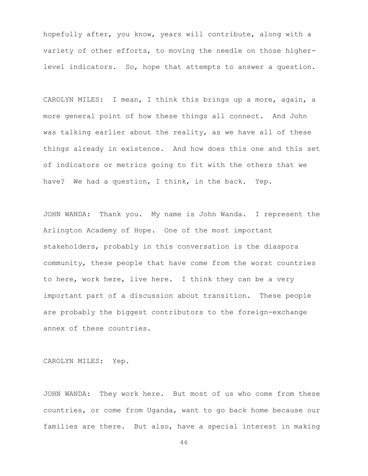hopefully after, you know, years will contribute, along with a variety of other efforts, to moving the needle on those higherlevel indicators. So, hope that attempts to answer a question.

CAROLYN MILES: I mean, I think this brings up a more, again, a more general point of how these things all connect. And John was talking earlier about the reality, as we have all of these things already in existence. And how does this one and this set of indicators or metrics going to fit with the others that we have? We had a question, I think, in the back. Yep.

JOHN WANDA: Thank you. My name is John Wanda. I represent the Arlington Academy of Hope. One of the most important stakeholders, probably in this conversation is the diaspora community, these people that have come from the worst countries to here, work here, live here. I think they can be a very important part of a discussion about transition. These people are probably the biggest contributors to the foreign-exchange annex of these countries.

CAROLYN MILES: Yep.

JOHN WANDA: They work here. But most of us who come from these countries, or come from Uganda, want to go back home because our families are there. But also, have a special interest in making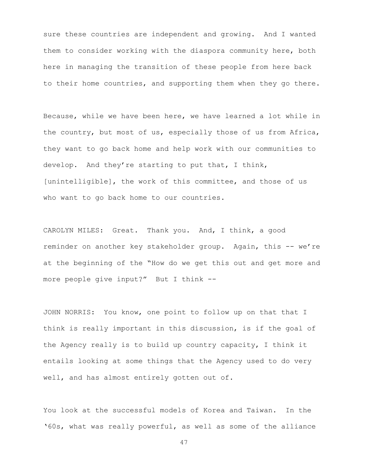sure these countries are independent and growing. And I wanted them to consider working with the diaspora community here, both here in managing the transition of these people from here back to their home countries, and supporting them when they go there.

Because, while we have been here, we have learned a lot while in the country, but most of us, especially those of us from Africa, they want to go back home and help work with our communities to develop. And they're starting to put that, I think, [unintelligible], the work of this committee, and those of us who want to go back home to our countries.

CAROLYN MILES: Great. Thank you. And, I think, a good reminder on another key stakeholder group. Again, this -- we're at the beginning of the "How do we get this out and get more and more people give input?" But I think --

JOHN NORRIS: You know, one point to follow up on that that I think is really important in this discussion, is if the goal of the Agency really is to build up country capacity, I think it entails looking at some things that the Agency used to do very well, and has almost entirely gotten out of.

You look at the successful models of Korea and Taiwan. In the '60s, what was really powerful, as well as some of the alliance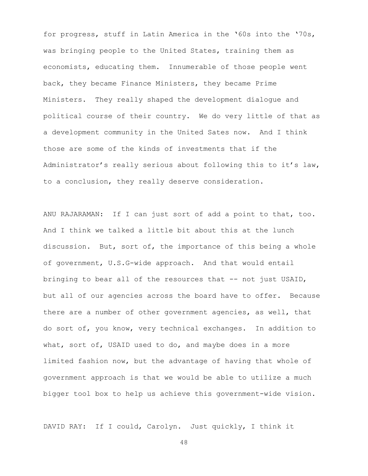for progress, stuff in Latin America in the '60s into the '70s, was bringing people to the United States, training them as economists, educating them. Innumerable of those people went back, they became Finance Ministers, they became Prime Ministers. They really shaped the development dialogue and political course of their country. We do very little of that as a development community in the United Sates now. And I think those are some of the kinds of investments that if the Administrator's really serious about following this to it's law, to a conclusion, they really deserve consideration.

ANU RAJARAMAN: If I can just sort of add a point to that, too. And I think we talked a little bit about this at the lunch discussion. But, sort of, the importance of this being a whole of government, U.S.G-wide approach. And that would entail bringing to bear all of the resources that -- not just USAID, but all of our agencies across the board have to offer. Because there are a number of other government agencies, as well, that do sort of, you know, very technical exchanges. In addition to what, sort of, USAID used to do, and maybe does in a more limited fashion now, but the advantage of having that whole of government approach is that we would be able to utilize a much bigger tool box to help us achieve this government-wide vision.

DAVID RAY: If I could, Carolyn. Just quickly, I think it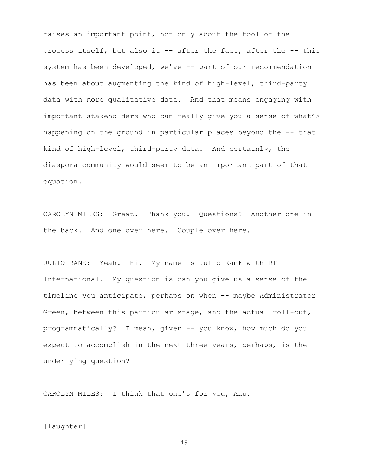raises an important point, not only about the tool or the process itself, but also it -- after the fact, after the -- this system has been developed, we've -- part of our recommendation has been about augmenting the kind of high-level, third-party data with more qualitative data. And that means engaging with important stakeholders who can really give you a sense of what's happening on the ground in particular places beyond the -- that kind of high-level, third-party data. And certainly, the diaspora community would seem to be an important part of that equation.

CAROLYN MILES: Great. Thank you. Questions? Another one in the back. And one over here. Couple over here.

JULIO RANK: Yeah. Hi. My name is Julio Rank with RTI International. My question is can you give us a sense of the timeline you anticipate, perhaps on when -- maybe Administrator Green, between this particular stage, and the actual roll-out, programmatically? I mean, given -- you know, how much do you expect to accomplish in the next three years, perhaps, is the underlying question?

CAROLYN MILES: I think that one's for you, Anu.

#### [laughter]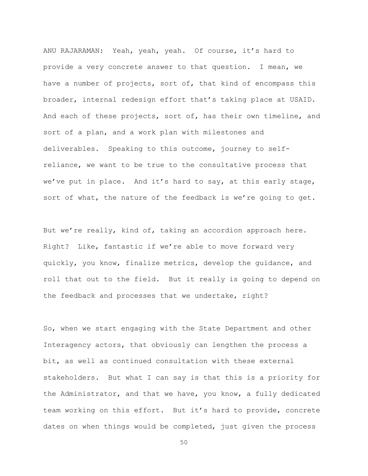ANU RAJARAMAN: Yeah, yeah, yeah. Of course, it's hard to provide a very concrete answer to that question. I mean, we have a number of projects, sort of, that kind of encompass this broader, internal redesign effort that's taking place at USAID. And each of these projects, sort of, has their own timeline, and sort of a plan, and a work plan with milestones and deliverables. Speaking to this outcome, journey to selfreliance, we want to be true to the consultative process that we've put in place. And it's hard to say, at this early stage, sort of what, the nature of the feedback is we're going to get.

But we're really, kind of, taking an accordion approach here. Right? Like, fantastic if we're able to move forward very quickly, you know, finalize metrics, develop the guidance, and roll that out to the field. But it really is going to depend on the feedback and processes that we undertake, right?

So, when we start engaging with the State Department and other Interagency actors, that obviously can lengthen the process a bit, as well as continued consultation with these external stakeholders. But what I can say is that this is a priority for the Administrator, and that we have, you know, a fully dedicated team working on this effort. But it's hard to provide, concrete dates on when things would be completed, just given the process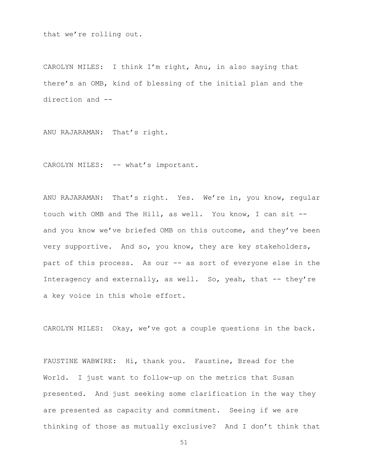that we're rolling out.

CAROLYN MILES: I think I'm right, Anu, in also saying that there's an OMB, kind of blessing of the initial plan and the direction and --

ANU RAJARAMAN: That's right.

CAROLYN MILES: -- what's important.

ANU RAJARAMAN: That's right. Yes. We're in, you know, regular touch with OMB and The Hill, as well. You know, I can sit - and you know we've briefed OMB on this outcome, and they've been very supportive. And so, you know, they are key stakeholders, part of this process. As our -- as sort of everyone else in the Interagency and externally, as well. So, yeah, that -- they're a key voice in this whole effort.

CAROLYN MILES: Okay, we've got a couple questions in the back.

FAUSTINE WABWIRE: Hi, thank you. Faustine, Bread for the World. I just want to follow-up on the metrics that Susan presented. And just seeking some clarification in the way they are presented as capacity and commitment. Seeing if we are thinking of those as mutually exclusive? And I don't think that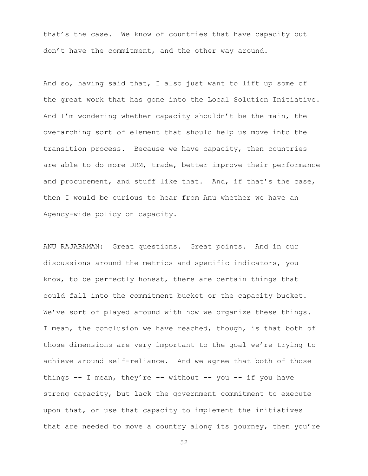that's the case. We know of countries that have capacity but don't have the commitment, and the other way around.

And so, having said that, I also just want to lift up some of the great work that has gone into the Local Solution Initiative. And I'm wondering whether capacity shouldn't be the main, the overarching sort of element that should help us move into the transition process. Because we have capacity, then countries are able to do more DRM, trade, better improve their performance and procurement, and stuff like that. And, if that's the case, then I would be curious to hear from Anu whether we have an Agency-wide policy on capacity.

ANU RAJARAMAN: Great questions. Great points. And in our discussions around the metrics and specific indicators, you know, to be perfectly honest, there are certain things that could fall into the commitment bucket or the capacity bucket. We've sort of played around with how we organize these things. I mean, the conclusion we have reached, though, is that both of those dimensions are very important to the goal we're trying to achieve around self-reliance. And we agree that both of those things  $--$  I mean, they're  $--$  without  $--$  you  $--$  if you have strong capacity, but lack the government commitment to execute upon that, or use that capacity to implement the initiatives that are needed to move a country along its journey, then you're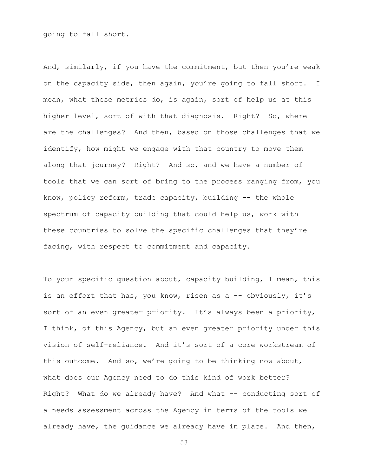going to fall short.

And, similarly, if you have the commitment, but then you're weak on the capacity side, then again, you're going to fall short. I mean, what these metrics do, is again, sort of help us at this higher level, sort of with that diagnosis. Right? So, where are the challenges? And then, based on those challenges that we identify, how might we engage with that country to move them along that journey? Right? And so, and we have a number of tools that we can sort of bring to the process ranging from, you know, policy reform, trade capacity, building -- the whole spectrum of capacity building that could help us, work with these countries to solve the specific challenges that they're facing, with respect to commitment and capacity.

To your specific question about, capacity building, I mean, this is an effort that has, you know, risen as a -- obviously, it's sort of an even greater priority. It's always been a priority, I think, of this Agency, but an even greater priority under this vision of self-reliance. And it's sort of a core workstream of this outcome. And so, we're going to be thinking now about, what does our Agency need to do this kind of work better? Right? What do we already have? And what -- conducting sort of a needs assessment across the Agency in terms of the tools we already have, the guidance we already have in place. And then,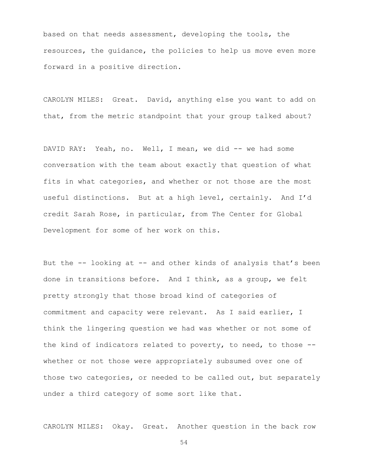based on that needs assessment, developing the tools, the resources, the guidance, the policies to help us move even more forward in a positive direction.

CAROLYN MILES: Great. David, anything else you want to add on that, from the metric standpoint that your group talked about?

DAVID RAY: Yeah, no. Well, I mean, we did -- we had some conversation with the team about exactly that question of what fits in what categories, and whether or not those are the most useful distinctions. But at a high level, certainly. And I'd credit Sarah Rose, in particular, from The Center for Global Development for some of her work on this.

But the -- looking at -- and other kinds of analysis that's been done in transitions before. And I think, as a group, we felt pretty strongly that those broad kind of categories of commitment and capacity were relevant. As I said earlier, I think the lingering question we had was whether or not some of the kind of indicators related to poverty, to need, to those - whether or not those were appropriately subsumed over one of those two categories, or needed to be called out, but separately under a third category of some sort like that.

CAROLYN MILES: Okay. Great. Another question in the back row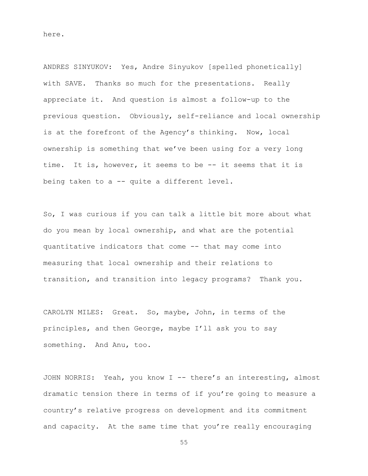here.

ANDRES SINYUKOV: Yes, Andre Sinyukov [spelled phonetically] with SAVE. Thanks so much for the presentations. Really appreciate it. And question is almost a follow-up to the previous question. Obviously, self-reliance and local ownership is at the forefront of the Agency's thinking. Now, local ownership is something that we've been using for a very long time. It is, however, it seems to be -- it seems that it is being taken to a -- quite a different level.

So, I was curious if you can talk a little bit more about what do you mean by local ownership, and what are the potential quantitative indicators that come -- that may come into measuring that local ownership and their relations to transition, and transition into legacy programs? Thank you.

CAROLYN MILES: Great. So, maybe, John, in terms of the principles, and then George, maybe I'll ask you to say something. And Anu, too.

JOHN NORRIS: Yeah, you know I -- there's an interesting, almost dramatic tension there in terms of if you're going to measure a country's relative progress on development and its commitment and capacity. At the same time that you're really encouraging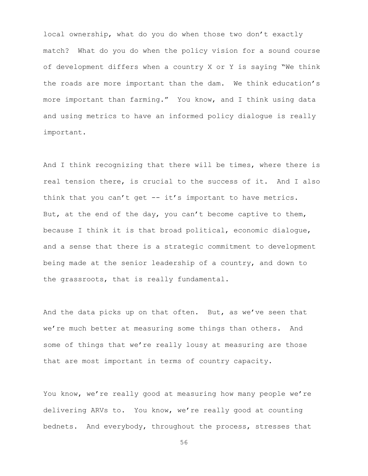local ownership, what do you do when those two don't exactly match? What do you do when the policy vision for a sound course of development differs when a country X or Y is saying "We think the roads are more important than the dam. We think education's more important than farming." You know, and I think using data and using metrics to have an informed policy dialogue is really important.

And I think recognizing that there will be times, where there is real tension there, is crucial to the success of it. And I also think that you can't get -- it's important to have metrics. But, at the end of the day, you can't become captive to them, because I think it is that broad political, economic dialogue, and a sense that there is a strategic commitment to development being made at the senior leadership of a country, and down to the grassroots, that is really fundamental.

And the data picks up on that often. But, as we've seen that we're much better at measuring some things than others. And some of things that we're really lousy at measuring are those that are most important in terms of country capacity.

You know, we're really good at measuring how many people we're delivering ARVs to. You know, we're really good at counting bednets. And everybody, throughout the process, stresses that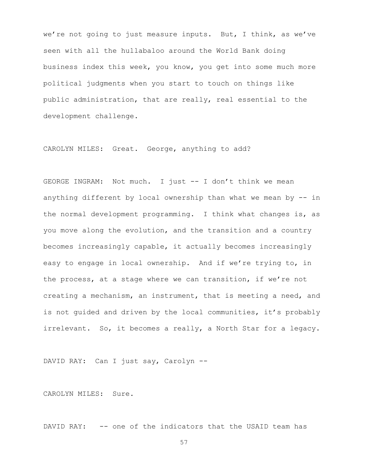we're not going to just measure inputs. But, I think, as we've seen with all the hullabaloo around the World Bank doing business index this week, you know, you get into some much more political judgments when you start to touch on things like public administration, that are really, real essential to the development challenge.

CAROLYN MILES: Great. George, anything to add?

GEORGE INGRAM: Not much. I just -- I don't think we mean anything different by local ownership than what we mean by -- in the normal development programming. I think what changes is, as you move along the evolution, and the transition and a country becomes increasingly capable, it actually becomes increasingly easy to engage in local ownership. And if we're trying to, in the process, at a stage where we can transition, if we're not creating a mechanism, an instrument, that is meeting a need, and is not guided and driven by the local communities, it's probably irrelevant. So, it becomes a really, a North Star for a legacy.

DAVID RAY: Can I just say, Carolyn --

CAROLYN MILES: Sure.

DAVID RAY: -- one of the indicators that the USAID team has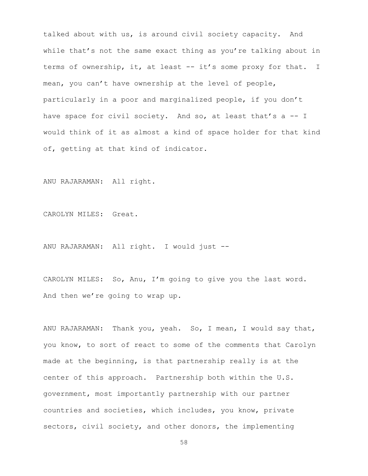talked about with us, is around civil society capacity. And while that's not the same exact thing as you're talking about in terms of ownership, it, at least -- it's some proxy for that. I mean, you can't have ownership at the level of people, particularly in a poor and marginalized people, if you don't have space for civil society. And so, at least that's a -- I would think of it as almost a kind of space holder for that kind of, getting at that kind of indicator.

ANU RAJARAMAN: All right.

CAROLYN MILES: Great.

ANU RAJARAMAN: All right. I would just --

CAROLYN MILES: So, Anu, I'm going to give you the last word. And then we're going to wrap up.

ANU RAJARAMAN: Thank you, yeah. So, I mean, I would say that, you know, to sort of react to some of the comments that Carolyn made at the beginning, is that partnership really is at the center of this approach. Partnership both within the U.S. government, most importantly partnership with our partner countries and societies, which includes, you know, private sectors, civil society, and other donors, the implementing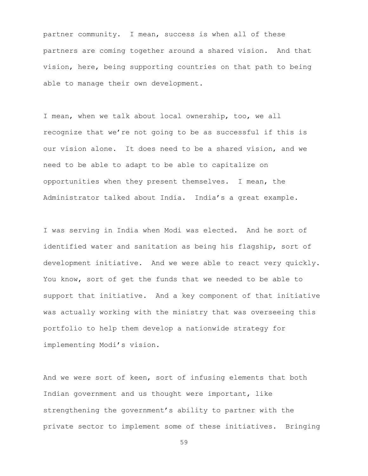partner community. I mean, success is when all of these partners are coming together around a shared vision. And that vision, here, being supporting countries on that path to being able to manage their own development.

I mean, when we talk about local ownership, too, we all recognize that we're not going to be as successful if this is our vision alone. It does need to be a shared vision, and we need to be able to adapt to be able to capitalize on opportunities when they present themselves. I mean, the Administrator talked about India. India's a great example.

I was serving in India when Modi was elected. And he sort of identified water and sanitation as being his flagship, sort of development initiative. And we were able to react very quickly. You know, sort of get the funds that we needed to be able to support that initiative. And a key component of that initiative was actually working with the ministry that was overseeing this portfolio to help them develop a nationwide strategy for implementing Modi's vision.

And we were sort of keen, sort of infusing elements that both Indian government and us thought were important, like strengthening the government's ability to partner with the private sector to implement some of these initiatives. Bringing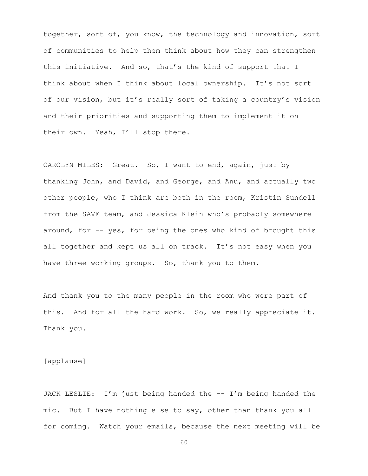together, sort of, you know, the technology and innovation, sort of communities to help them think about how they can strengthen this initiative. And so, that's the kind of support that I think about when I think about local ownership. It's not sort of our vision, but it's really sort of taking a country's vision and their priorities and supporting them to implement it on their own. Yeah, I'll stop there.

CAROLYN MILES: Great. So, I want to end, again, just by thanking John, and David, and George, and Anu, and actually two other people, who I think are both in the room, Kristin Sundell from the SAVE team, and Jessica Klein who's probably somewhere around, for -- yes, for being the ones who kind of brought this all together and kept us all on track. It's not easy when you have three working groups. So, thank you to them.

And thank you to the many people in the room who were part of this. And for all the hard work. So, we really appreciate it. Thank you.

[applause]

JACK LESLIE: I'm just being handed the -- I'm being handed the mic. But I have nothing else to say, other than thank you all for coming. Watch your emails, because the next meeting will be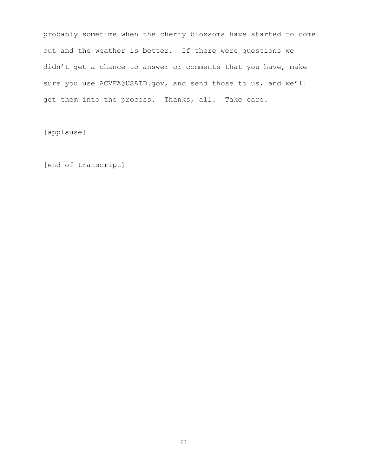probably sometime when the cherry blossoms have started to come out and the weather is better. If there were questions we didn't get a chance to answer or comments that you have, make sure you use ACVFA@USAID.gov, and send those to us, and we'll get them into the process. Thanks, all. Take care.

[applause]

[end of transcript]